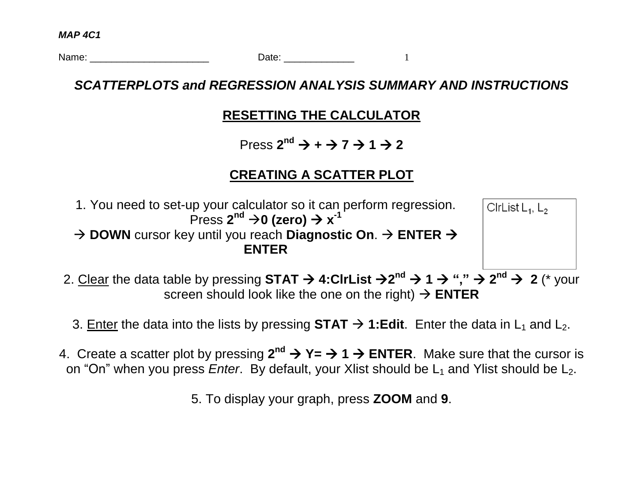| <b>MAP</b> | 4C |
|------------|----|
|------------|----|

| Name |  |  |
|------|--|--|
|------|--|--|

## *SCATTERPLOTS and REGRESSION ANALYSIS SUMMARY AND INSTRUCTIONS*

## **RESETTING THE CALCULATOR**

# $\text{Press } 2^{\text{nd}} \rightarrow + \rightarrow 7 \rightarrow 1 \rightarrow 2$

# **CREATING A SCATTER PLOT**

1. You need to set-up your calculator so it can perform regression. CIrList  $L_1, L_2$  $\text{Press } 2^{\text{nd}} \rightarrow 0 \text{ (zero)} \rightarrow x^{-1}$  $\rightarrow$  **DOWN** cursor key until you reach **Diagnostic On.**  → ENTER → **ENTER**

2. <u>Clear</u> the data table by pressing **STAT**  $\rightarrow$  **4:ClrList**  $\rightarrow$  2<sup>nd</sup>  $\rightarrow$  1  $\rightarrow$  ","  $\rightarrow$  2<sup>nd</sup>  $\rightarrow$  2 (\* your screen should look like the one on the right) **ENTER**

3. Enter the data into the lists by pressing **STAT**  $\rightarrow$  **1:Edit**. Enter the data in L<sub>1</sub> and L<sub>2</sub>.

4. Create a scatter plot by pressing  $2^{nd} \rightarrow Y = \rightarrow 1 \rightarrow ENIER$ . Make sure that the cursor is on "On" when you press *Enter*. By default, your Xlist should be L<sub>1</sub> and Ylist should be L<sub>2</sub>.

5. To display your graph, press **ZOOM** and **9**.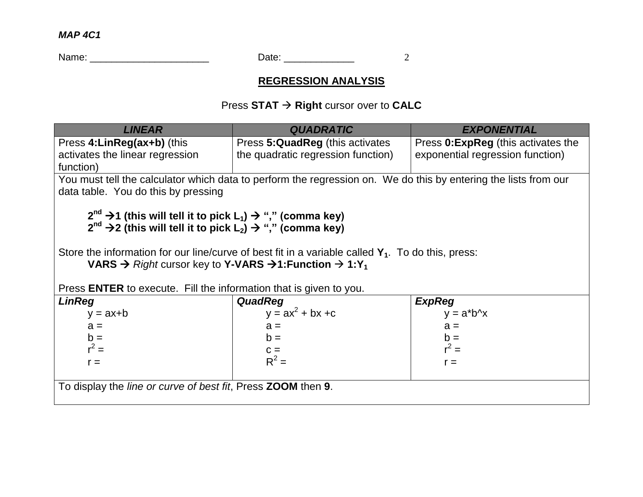| <b>MAP</b> | 4C |
|------------|----|
|------------|----|

| . .<br>N |  |  |
|----------|--|--|
|----------|--|--|

#### **REGRESSION ANALYSIS**

# **Press STAT**  $\rightarrow$  **Right** cursor over to **CALC**

| <b>LINEAR</b>                                                                                          | <b>QUADRATIC</b>                                                                                                | <b>EXPONENTIAL</b>                  |  |  |
|--------------------------------------------------------------------------------------------------------|-----------------------------------------------------------------------------------------------------------------|-------------------------------------|--|--|
| Press 4: LinReg(ax+b) (this                                                                            | Press 5:QuadReg (this activates                                                                                 | Press 0: ExpReg (this activates the |  |  |
| activates the linear regression                                                                        | the quadratic regression function)                                                                              | exponential regression function)    |  |  |
| function)                                                                                              |                                                                                                                 |                                     |  |  |
|                                                                                                        | You must tell the calculator which data to perform the regression on. We do this by entering the lists from our |                                     |  |  |
| data table. You do this by pressing                                                                    |                                                                                                                 |                                     |  |  |
|                                                                                                        |                                                                                                                 |                                     |  |  |
| $2^{nd}$ $\rightarrow$ 1 (this will tell it to pick L <sub>1</sub> ) $\rightarrow$ "," (comma key)     |                                                                                                                 |                                     |  |  |
| $2^{nd}$ $\rightarrow$ 2 (this will tell it to pick L <sub>2</sub> ) $\rightarrow$ "," (comma key)     |                                                                                                                 |                                     |  |  |
|                                                                                                        |                                                                                                                 |                                     |  |  |
|                                                                                                        | Store the information for our line/curve of best fit in a variable called $Y_1$ . To do this, press:            |                                     |  |  |
| VARS $\rightarrow$ Right cursor key to Y-VARS $\rightarrow$ 1: Function $\rightarrow$ 1:Y <sub>1</sub> |                                                                                                                 |                                     |  |  |
|                                                                                                        |                                                                                                                 |                                     |  |  |
| Press <b>ENTER</b> to execute. Fill the information that is given to you.                              |                                                                                                                 |                                     |  |  |
| <b>LinReg</b>                                                                                          | QuadReg                                                                                                         | <b>ExpReg</b>                       |  |  |
| $y = ax + b$                                                                                           | $y = ax^2 + bx + c$                                                                                             | $y = a^*b^x$                        |  |  |
| $a =$                                                                                                  | $a =$                                                                                                           | $a =$                               |  |  |
| $b =$                                                                                                  | $h =$                                                                                                           | $b =$                               |  |  |
| $r^2 =$                                                                                                | $C =$                                                                                                           | $r^2 =$                             |  |  |
| $r =$                                                                                                  | $R^2 =$                                                                                                         | $r =$                               |  |  |
|                                                                                                        |                                                                                                                 |                                     |  |  |
| To display the line or curve of best fit, Press <b>ZOOM</b> then 9.                                    |                                                                                                                 |                                     |  |  |
|                                                                                                        |                                                                                                                 |                                     |  |  |